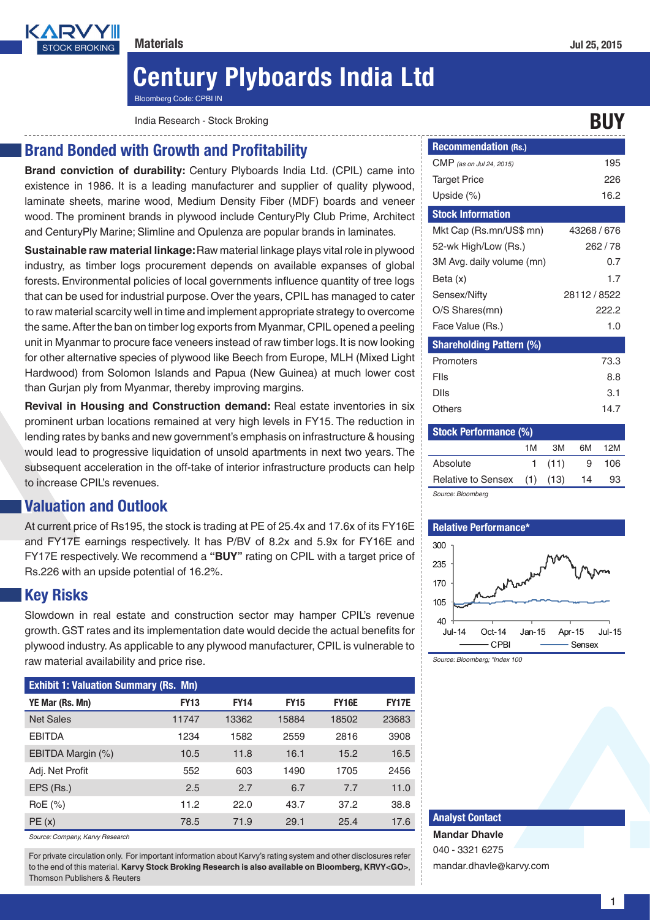

# Century Plyboards India Ltd

Bloomberg Code: CPBI IN

India Research - Stock Broking Buyer and the stock Broking Buyer and the stock Broking BUY

## Brand Bonded with Growth and Profitability

**Brand conviction of durability:** Century Plyboards India Ltd. (CPIL) came into existence in 1986. It is a leading manufacturer and supplier of quality plywood, laminate sheets, marine wood, Medium Density Fiber (MDF) boards and veneer wood. The prominent brands in plywood include CenturyPly Club Prime, Architect and CenturyPly Marine; Slimline and Opulenza are popular brands in laminates.

**Sustainable raw material linkage:** Raw material linkage plays vital role in plywood industry, as timber logs procurement depends on available expanses of global forests. Environmental policies of local governments influence quantity of tree logs that can be used for industrial purpose. Over the years, CPIL has managed to cater to raw material scarcity well in time and implement appropriate strategy to overcome the same. After the ban on timber log exports from Myanmar, CPIL opened a peeling unit in Myanmar to procure face veneers instead of raw timber logs. It is now looking for other alternative species of plywood like Beech from Europe, MLH (Mixed Light Hardwood) from Solomon Islands and Papua (New Guinea) at much lower cost than Gurjan ply from Myanmar, thereby improving margins.

**Revival in Housing and Construction demand:** Real estate inventories in six prominent urban locations remained at very high levels in FY15. The reduction in lending rates by banks and new government's emphasis on infrastructure & housing would lead to progressive liquidation of unsold apartments in next two years. The subsequent acceleration in the off-take of interior infrastructure products can help to increase CPIL's revenues.

# Valuation and Outlook

At current price of Rs195, the stock is trading at PE of 25.4x and 17.6x of its FY16E and FY17E earnings respectively. It has P/BV of 8.2x and 5.9x for FY16E and FY17E respectively. We recommend a **"BUY"** rating on CPIL with a target price of Rs.226 with an upside potential of 16.2%.

# Key Risks

Slowdown in real estate and construction sector may hamper CPIL's revenue growth. GST rates and its implementation date would decide the actual benefits for plywood industry. As applicable to any plywood manufacturer, CPIL is vulnerable to raw material availability and price rise.

| <b>Exhibit 1: Valuation Summary (Rs. Mn)</b> |             |             |             |              |              |  |
|----------------------------------------------|-------------|-------------|-------------|--------------|--------------|--|
| YE Mar (Rs. Mn)                              | <b>FY13</b> | <b>FY14</b> | <b>FY15</b> | <b>FY16E</b> | <b>FY17E</b> |  |
| <b>Net Sales</b>                             | 11747       | 13362       | 15884       | 18502        | 23683        |  |
| <b>EBITDA</b>                                | 1234        | 1582        | 2559        | 2816         | 3908         |  |
| EBITDA Margin (%)                            | 10.5        | 11.8        | 16.1        | 15.2         | 16.5         |  |
| Adj. Net Profit                              | 552         | 603         | 1490        | 1705         | 2456         |  |
| EPS (Rs.)                                    | 2.5         | 2.7         | 6.7         | 7.7          | 11.0         |  |
| $RoE$ $(\%)$                                 | 11.2        | 22.0        | 43.7        | 37.2         | 38.8         |  |
| PE(x)                                        | 78.5        | 71.9        | 29.1        | 25.4         | 17.6         |  |

*Source: Company, Karvy Research*

For private circulation only. For important information about Karvy's rating system and other disclosures refer to the end of this material. **Karvy Stock Broking Research is also available on Bloomberg, KRVY<GO>**, Thomson Publishers & Reuters

| <b>Recommendation (Rs.)</b>     |                 |
|---------------------------------|-----------------|
| CMP (as on Jul 24, 2015)        | 195             |
| <b>Target Price</b>             | 226             |
| Upside (%)                      | 16.2            |
| <b>Stock Information</b>        |                 |
| Mkt Cap (Rs.mn/US\$ mn)         | 43268 / 676     |
| 52-wk High/Low (Rs.)            | 262/78          |
| 3M Avg. daily volume (mn)       | 0.7             |
| Beta (x)                        | 17              |
| Sensex/Nifty                    | 28112 / 8522    |
| O/S Shares(mn)                  | 222.2           |
| Face Value (Rs.)                | 1.0             |
| <b>Shareholding Pattern (%)</b> |                 |
| Promoters                       | 73.3            |
| Flls                            | 8.8             |
| Dlls                            | 3.1             |
| Others                          | 14.7            |
| <b>Stock Performance (%)</b>    |                 |
| 1M                              | 6М<br>12M<br>ЗM |

|                        | 1 M | ЗM    | 6М | 12M |  |  |
|------------------------|-----|-------|----|-----|--|--|
| Absolute               |     | 1(11) | 9  | 106 |  |  |
| Relative to Sensex (1) |     | (13)  | 14 | 93  |  |  |
| Source: Bloomberg      |     |       |    |     |  |  |

#### Relative Performance\*



*Source: Bloomberg; \*Index 100*

#### Analyst Contact

**Mandar Dhavle** 040 - 3321 6275 mandar.dhavle@karvy.com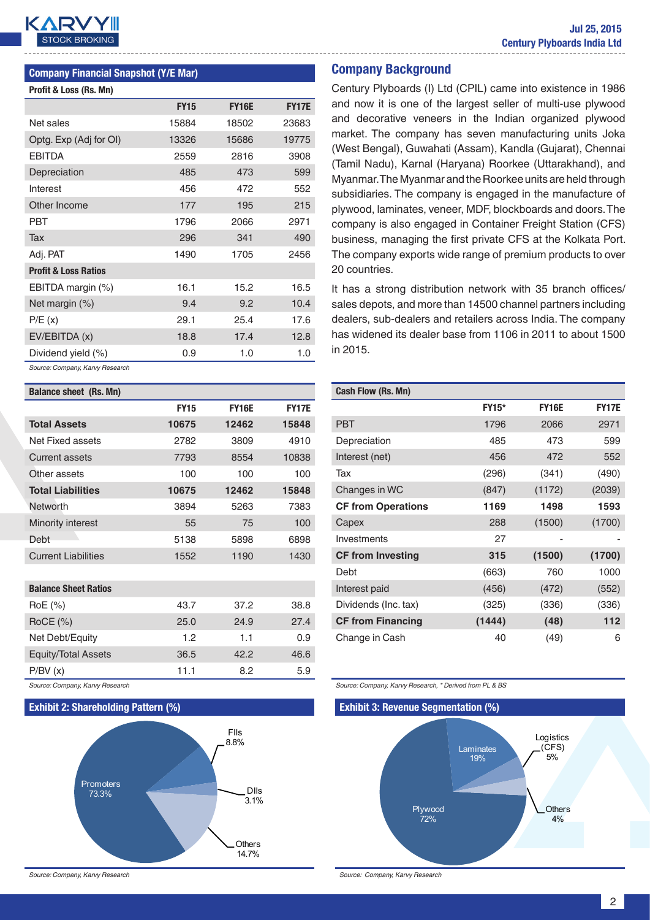

#### Company Financial Snapshot (Y/E Mar)

| Profit & Loss (Rs. Mn)          |             |              |              |
|---------------------------------|-------------|--------------|--------------|
|                                 | <b>FY15</b> | <b>FY16E</b> | <b>FY17E</b> |
| Net sales                       | 15884       | 18502        | 23683        |
| Optg. Exp (Adj for OI)          | 13326       | 15686        | 19775        |
| <b>EBITDA</b>                   | 2559        | 2816         | 3908         |
| Depreciation                    | 485         | 473          | 599          |
| Interest                        | 456         | 472          | 552          |
| Other Income                    | 177         | 195          | 215          |
| PBT                             | 1796        | 2066         | 2971         |
| Tax                             | 296         | 341          | 490          |
| Adj. PAT                        | 1490        | 1705         | 2456         |
| <b>Profit &amp; Loss Ratios</b> |             |              |              |
| EBITDA margin (%)               | 16.1        | 15.2         | 16.5         |
| Net margin (%)                  | 9.4         | 9.2          | 10.4         |
| P/E(x)                          | 29.1        | 25.4         | 17.6         |
| EV/EBITDA (x)                   | 18.8        | 17.4         | 12.8         |
| Dividend yield (%)              | 0.9         | 1.0          | 1.0          |
|                                 |             |              |              |

*Source: Company, Karvy Research*

| <b>Balance sheet (Rs. Mn)</b> |             |              |              |
|-------------------------------|-------------|--------------|--------------|
|                               | <b>FY15</b> | <b>FY16E</b> | <b>FY17E</b> |
| <b>Total Assets</b>           | 10675       | 12462        | 15848        |
| Net Fixed assets              | 2782        | 3809         | 4910         |
| <b>Current assets</b>         | 7793        | 8554         | 10838        |
| Other assets                  | 100         | 100          | 100          |
| <b>Total Liabilities</b>      | 10675       | 12462        | 15848        |
| Networth                      | 3894        | 5263         | 7383         |
| Minority interest             | 55          | 75           | 100          |
| Debt                          | 5138        | 5898         | 6898         |
| <b>Current Liabilities</b>    | 1552        | 1190         | 1430         |
|                               |             |              |              |
| <b>Balance Sheet Ratios</b>   |             |              |              |
| RoE (%)                       | 43.7        | 37.2         | 38.8         |
| $RoCE$ (%)                    | 25.0        | 24.9         | 27.4         |
| Net Debt/Equity               | 1.2         | 1.1          | 0.9          |
| <b>Equity/Total Assets</b>    | 36.5        | 42.2         | 46.6         |
| P/BV(x)                       | 11.1        | 8.2          | 5.9          |

*Source: Company, Karvy Research*

#### Exhibit 2: Shareholding Pattern (%)



*Source: Company, Karvy Research*

#### Company Background

Century Plyboards (I) Ltd (CPIL) came into existence in 1986 and now it is one of the largest seller of multi-use plywood and decorative veneers in the Indian organized plywood market. The company has seven manufacturing units Joka (West Bengal), Guwahati (Assam), Kandla (Gujarat), Chennai (Tamil Nadu), Karnal (Haryana) Roorkee (Uttarakhand), and Myanmar. The Myanmar and the Roorkee units are held through subsidiaries. The company is engaged in the manufacture of plywood, laminates, veneer, MDF, blockboards and doors. The company is also engaged in Container Freight Station (CFS) business, managing the first private CFS at the Kolkata Port. The company exports wide range of premium products to over 20 countries.

It has a strong distribution network with 35 branch offices/ sales depots, and more than 14500 channel partners including dealers, sub-dealers and retailers across India. The company has widened its dealer base from 1106 in 2011 to about 1500 in 2015.

| Cash Flow (Rs. Mn)        |              |              |              |
|---------------------------|--------------|--------------|--------------|
|                           | <b>FY15*</b> | <b>FY16E</b> | <b>FY17E</b> |
| <b>PBT</b>                | 1796         | 2066         | 2971         |
| Depreciation              | 485          | 473          | 599          |
| Interest (net)            | 456          | 472          | 552          |
| Tax                       | (296)        | (341)        | (490)        |
| Changes in WC             | (847)        | (1172)       | (2039)       |
| <b>CF from Operations</b> | 1169         | 1498         | 1593         |
| Capex                     | 288          | (1500)       | (1700)       |
| Investments               | 27           |              |              |
| <b>CF from Investing</b>  | 315          | (1500)       | (1700)       |
| Debt                      | (663)        | 760          | 1000         |
| Interest paid             | (456)        | (472)        | (552)        |
| Dividends (Inc. tax)      | (325)        | (336)        | (336)        |
| <b>CF from Financing</b>  | (1444)       | (48)         | 112          |
| Change in Cash            | 40           | (49)         | 6            |

*Source: Company, Karvy Research, \* Derived from PL & BS*

Exhibit 3: Revenue Segmentation (%)

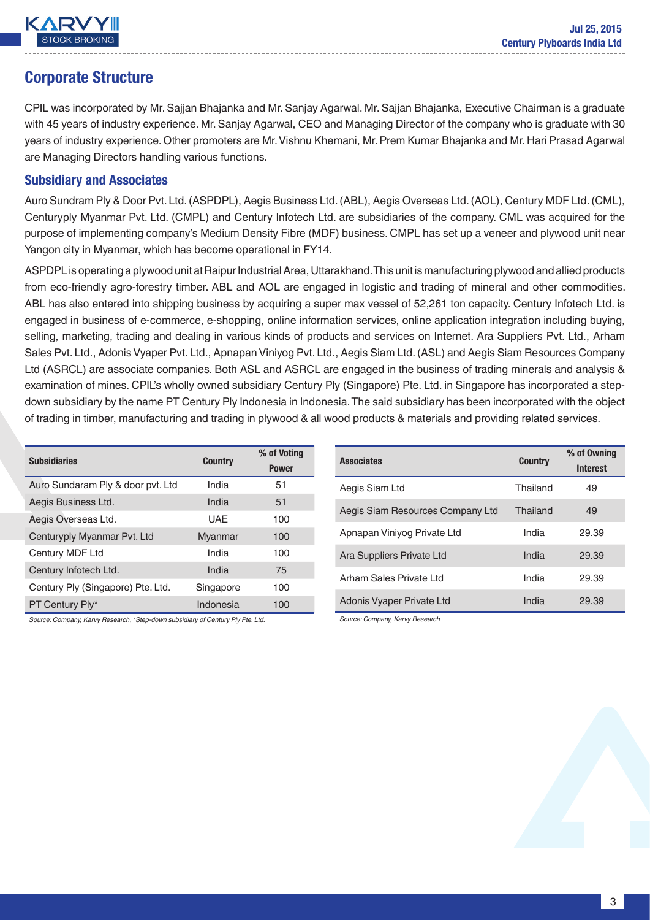

# Corporate Structure

CPIL was incorporated by Mr. Sajjan Bhajanka and Mr. Sanjay Agarwal. Mr. Sajjan Bhajanka, Executive Chairman is a graduate with 45 years of industry experience. Mr. Sanjay Agarwal, CEO and Managing Director of the company who is graduate with 30 years of industry experience. Other promoters are Mr. Vishnu Khemani, Mr. Prem Kumar Bhajanka and Mr. Hari Prasad Agarwal are Managing Directors handling various functions.

### Subsidiary and Associates

Auro Sundram Ply & Door Pvt. Ltd. (ASPDPL), Aegis Business Ltd. (ABL), Aegis Overseas Ltd. (AOL), Century MDF Ltd. (CML), Centuryply Myanmar Pvt. Ltd. (CMPL) and Century Infotech Ltd. are subsidiaries of the company. CML was acquired for the purpose of implementing company's Medium Density Fibre (MDF) business. CMPL has set up a veneer and plywood unit near Yangon city in Myanmar, which has become operational in FY14.

ASPDPL is operating a plywood unit at Raipur Industrial Area, Uttarakhand. This unit is manufacturing plywood and allied products from eco-friendly agro-forestry timber. ABL and AOL are engaged in logistic and trading of mineral and other commodities. ABL has also entered into shipping business by acquiring a super max vessel of 52,261 ton capacity. Century Infotech Ltd. is engaged in business of e-commerce, e-shopping, online information services, online application integration including buying, selling, marketing, trading and dealing in various kinds of products and services on Internet. Ara Suppliers Pvt. Ltd., Arham Sales Pvt. Ltd., Adonis Vyaper Pvt. Ltd., Apnapan Viniyog Pvt. Ltd., Aegis Siam Ltd. (ASL) and Aegis Siam Resources Company Ltd (ASRCL) are associate companies. Both ASL and ASRCL are engaged in the business of trading minerals and analysis & examination of mines. CPIL's wholly owned subsidiary Century Ply (Singapore) Pte. Ltd. in Singapore has incorporated a stepdown subsidiary by the name PT Century Ply Indonesia in Indonesia. The said subsidiary has been incorporated with the object of trading in timber, manufacturing and trading in plywood & all wood products & materials and providing related services.

| <b>Subsidiaries</b>               | <b>Country</b> | % of Voting  |
|-----------------------------------|----------------|--------------|
|                                   |                | <b>Power</b> |
| Auro Sundaram Ply & door pvt. Ltd | India          | 51           |
| Aegis Business Ltd.               | India          | 51           |
| Aegis Overseas Ltd.               | UAE            | 100          |
| Centuryply Myanmar Pvt. Ltd       | Myanmar        | 100          |
| Century MDF Ltd                   | India          | 100          |
| Century Infotech Ltd.             | India          | 75           |
| Century Ply (Singapore) Pte. Ltd. | Singapore      | 100          |
| PT Century Ply*                   | Indonesia      | 100          |

*Source: Company, Karvy Research, \*Step-down subsidiary of Century Ply Pte. Ltd.*

| <b>Associates</b>                | <b>Country</b> | % of Owning<br><b>Interest</b> |
|----------------------------------|----------------|--------------------------------|
| Aegis Siam Ltd                   | Thailand       | 49                             |
| Aegis Siam Resources Company Ltd | Thailand       | 49                             |
| Apnapan Viniyog Private Ltd      | India          | 29.39                          |
| Ara Suppliers Private Ltd        | India          | 29.39                          |
| Arham Sales Private Ltd          | India          | 29.39                          |
| Adonis Vyaper Private Ltd        | India          | 29.39                          |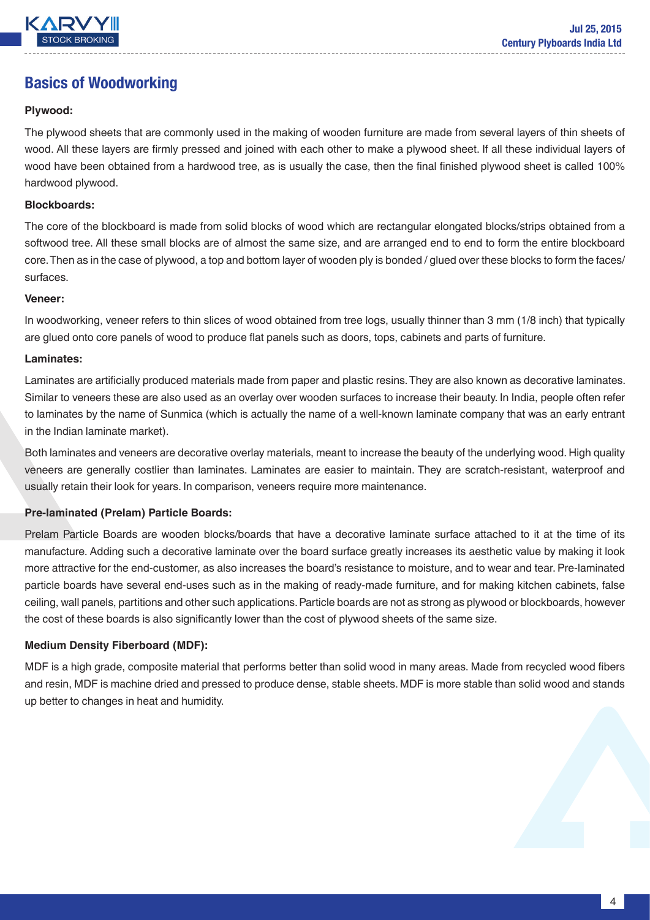

# Basics of Woodworking

#### **Plywood:**

The plywood sheets that are commonly used in the making of wooden furniture are made from several layers of thin sheets of wood. All these layers are firmly pressed and joined with each other to make a plywood sheet. If all these individual layers of wood have been obtained from a hardwood tree, as is usually the case, then the final finished plywood sheet is called 100% hardwood plywood.

#### **Blockboards:**

The core of the blockboard is made from solid blocks of wood which are rectangular elongated blocks/strips obtained from a softwood tree. All these small blocks are of almost the same size, and are arranged end to end to form the entire blockboard core. Then as in the case of plywood, a top and bottom layer of wooden ply is bonded / glued over these blocks to form the faces/ surfaces.

#### **Veneer:**

In woodworking, veneer refers to thin slices of wood obtained from tree logs, usually thinner than 3 mm (1/8 inch) that typically are glued onto core panels of wood to produce flat panels such as doors, tops, cabinets and parts of furniture.

#### **Laminates:**

Laminates are artificially produced materials made from paper and plastic resins. They are also known as decorative laminates. Similar to veneers these are also used as an overlay over wooden surfaces to increase their beauty. In India, people often refer to laminates by the name of Sunmica (which is actually the name of a well-known laminate company that was an early entrant in the Indian laminate market).

Both laminates and veneers are decorative overlay materials, meant to increase the beauty of the underlying wood. High quality veneers are generally costlier than laminates. Laminates are easier to maintain. They are scratch-resistant, waterproof and usually retain their look for years. In comparison, veneers require more maintenance.

#### **Pre-laminated (Prelam) Particle Boards:**

Prelam Particle Boards are wooden blocks/boards that have a decorative laminate surface attached to it at the time of its manufacture. Adding such a decorative laminate over the board surface greatly increases its aesthetic value by making it look more attractive for the end-customer, as also increases the board's resistance to moisture, and to wear and tear. Pre-laminated particle boards have several end-uses such as in the making of ready-made furniture, and for making kitchen cabinets, false ceiling, wall panels, partitions and other such applications. Particle boards are not as strong as plywood or blockboards, however the cost of these boards is also significantly lower than the cost of plywood sheets of the same size.

#### **Medium Density Fiberboard (MDF):**

MDF is a high grade, composite material that performs better than solid wood in many areas. Made from recycled wood fibers and resin, MDF is machine dried and pressed to produce dense, stable sheets. MDF is more stable than solid wood and stands up better to changes in heat and humidity.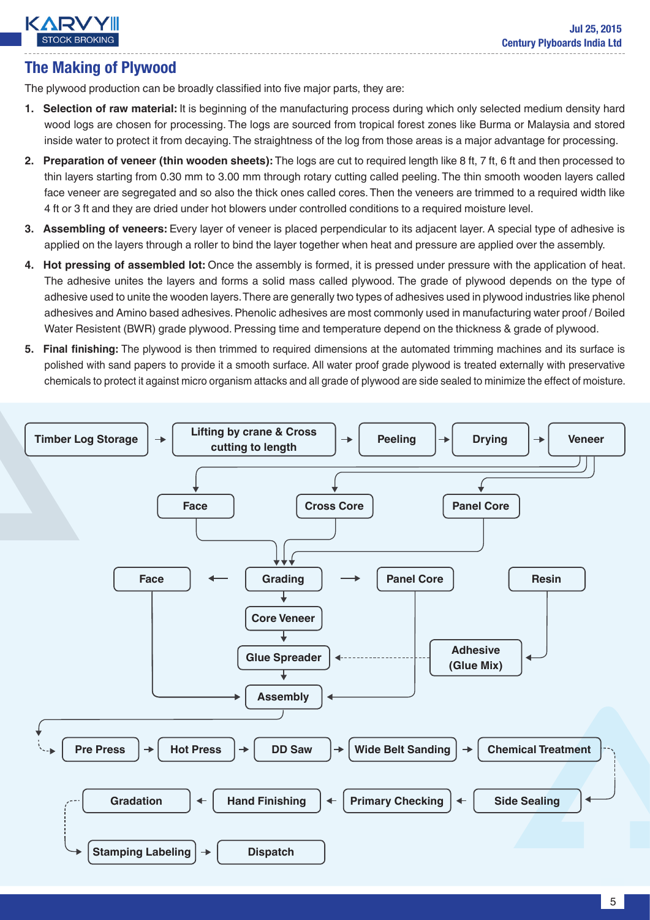# **KARY**

# The Making of Plywood

The plywood production can be broadly classified into five major parts, they are:

- **1. Selection of raw material:** It is beginning of the manufacturing process during which only selected medium density hard wood logs are chosen for processing. The logs are sourced from tropical forest zones like Burma or Malaysia and stored inside water to protect it from decaying. The straightness of the log from those areas is a major advantage for processing.
- **2. Preparation of veneer (thin wooden sheets):** The logs are cut to required length like 8 ft, 7 ft, 6 ft and then processed to thin layers starting from 0.30 mm to 3.00 mm through rotary cutting called peeling. The thin smooth wooden layers called face veneer are segregated and so also the thick ones called cores. Then the veneers are trimmed to a required width like 4 ft or 3 ft and they are dried under hot blowers under controlled conditions to a required moisture level.
- **3. Assembling of veneers:** Every layer of veneer is placed perpendicular to its adjacent layer. A special type of adhesive is applied on the layers through a roller to bind the layer together when heat and pressure are applied over the assembly.
- **4. Hot pressing of assembled lot:** Once the assembly is formed, it is pressed under pressure with the application of heat. The adhesive unites the layers and forms a solid mass called plywood. The grade of plywood depends on the type of adhesive used to unite the wooden layers. There are generally two types of adhesives used in plywood industries like phenol adhesives and Amino based adhesives. Phenolic adhesives are most commonly used in manufacturing water proof / Boiled Water Resistent (BWR) grade plywood. Pressing time and temperature depend on the thickness & grade of plywood.
- **5. Final finishing:** The plywood is then trimmed to required dimensions at the automated trimming machines and its surface is polished with sand papers to provide it a smooth surface. All water proof grade plywood is treated externally with preservative chemicals to protect it against micro organism attacks and all grade of plywood are side sealed to minimize the effect of moisture.

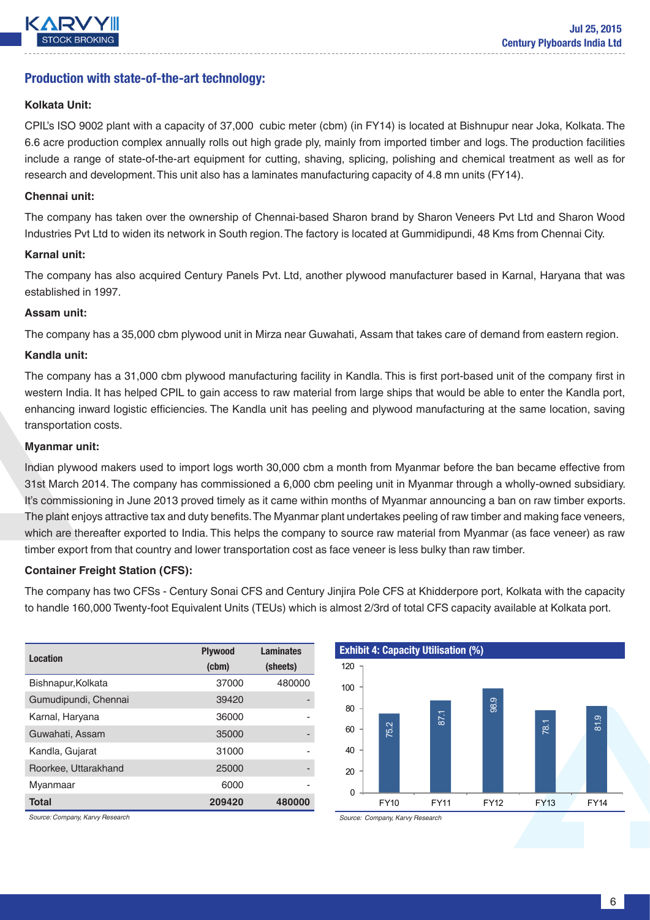

### Production with state-of-the-art technology:

#### **Kolkata Unit:**

CPIL's ISO 9002 plant with a capacity of 37,000 cubic meter (cbm) (in FY14) is located at Bishnupur near Joka, Kolkata. The 6.6 acre production complex annually rolls out high grade ply, mainly from imported timber and logs. The production facilities include a range of state-of-the-art equipment for cutting, shaving, splicing, polishing and chemical treatment as well as for research and development. This unit also has a laminates manufacturing capacity of 4.8 mn units (FY14).

#### **Chennai unit:**

The company has taken over the ownership of Chennai-based Sharon brand by Sharon Veneers Pvt Ltd and Sharon Wood Industries Pvt Ltd to widen its network in South region. The factory is located at Gummidipundi, 48 Kms from Chennai City.

#### **Karnal unit:**

The company has also acquired Century Panels Pvt. Ltd, another plywood manufacturer based in Karnal, Haryana that was established in 1997.

#### **Assam unit:**

The company has a 35,000 cbm plywood unit in Mirza near Guwahati, Assam that takes care of demand from eastern region.

#### **Kandla unit:**

The company has a 31,000 cbm plywood manufacturing facility in Kandla. This is first port-based unit of the company first in western India. It has helped CPIL to gain access to raw material from large ships that would be able to enter the Kandla port, enhancing inward logistic efficiencies. The Kandla unit has peeling and plywood manufacturing at the same location, saving transportation costs.

#### **Myanmar unit:**

Indian plywood makers used to import logs worth 30,000 cbm a month from Myanmar before the ban became effective from 31st March 2014. The company has commissioned a 6,000 cbm peeling unit in Myanmar through a wholly-owned subsidiary. It's commissioning in June 2013 proved timely as it came within months of Myanmar announcing a ban on raw timber exports. The plant enjoys attractive tax and duty benefits. The Myanmar plant undertakes peeling of raw timber and making face veneers, which are thereafter exported to India. This helps the company to source raw material from Myanmar (as face veneer) as raw timber export from that country and lower transportation cost as face veneer is less bulky than raw timber.

#### **Container Freight Station (CFS):**

The company has two CFSs - Century Sonai CFS and Century Jinjira Pole CFS at Khidderpore port, Kolkata with the capacity to handle 160,000 Twenty-foot Equivalent Units (TEUs) which is almost 2/3rd of total CFS capacity available at Kolkata port.

| <b>Location</b>      | <b>Plywood</b> | <b>Laminates</b> |
|----------------------|----------------|------------------|
|                      | (cbm)          | (sheets)         |
| Bishnapur, Kolkata   | 37000          | 480000           |
| Gumudipundi, Chennai | 39420          |                  |
| Karnal, Haryana      | 36000          |                  |
| Guwahati, Assam      | 35000          |                  |
| Kandla, Gujarat      | 31000          |                  |
| Roorkee, Uttarakhand | 25000          | -                |
| Myanmaar             | 6000           |                  |
| <b>Total</b>         | 209420         | 480000           |

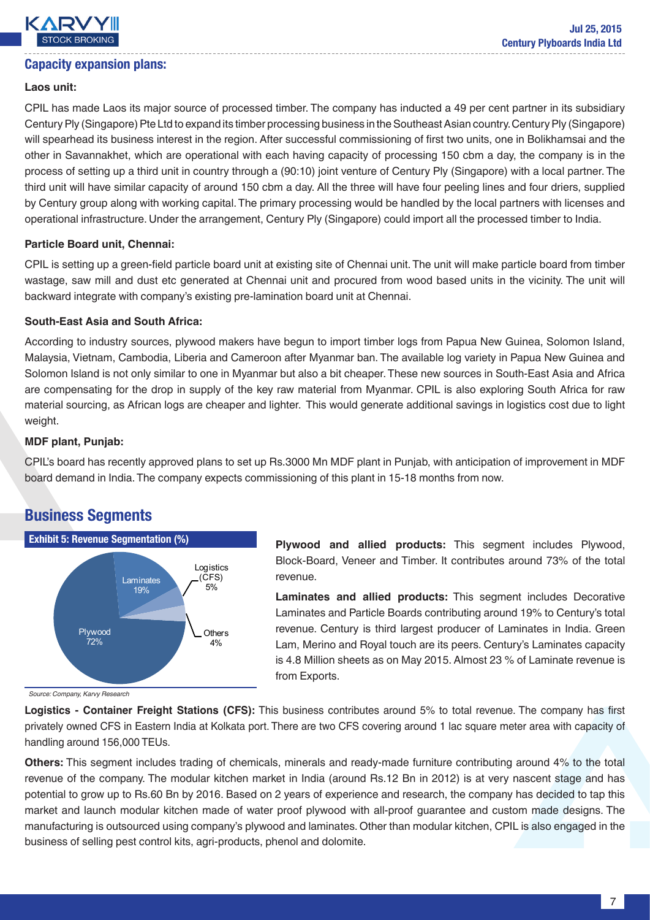

### Capacity expansion plans:

#### **Laos unit:**

CPIL has made Laos its major source of processed timber. The company has inducted a 49 per cent partner in its subsidiary Century Ply (Singapore) Pte Ltd to expand its timber processing business in the Southeast Asian country. Century Ply (Singapore) will spearhead its business interest in the region. After successful commissioning of first two units, one in Bolikhamsai and the other in Savannakhet, which are operational with each having capacity of processing 150 cbm a day, the company is in the process of setting up a third unit in country through a (90:10) joint venture of Century Ply (Singapore) with a local partner. The third unit will have similar capacity of around 150 cbm a day. All the three will have four peeling lines and four driers, supplied by Century group along with working capital. The primary processing would be handled by the local partners with licenses and operational infrastructure. Under the arrangement, Century Ply (Singapore) could import all the processed timber to India.

#### **Particle Board unit, Chennai:**

CPIL is setting up a green-field particle board unit at existing site of Chennai unit. The unit will make particle board from timber wastage, saw mill and dust etc generated at Chennai unit and procured from wood based units in the vicinity. The unit will backward integrate with company's existing pre-lamination board unit at Chennai.

#### **South-East Asia and South Africa:**

According to industry sources, plywood makers have begun to import timber logs from Papua New Guinea, Solomon Island, Malaysia, Vietnam, Cambodia, Liberia and Cameroon after Myanmar ban. The available log variety in Papua New Guinea and Solomon Island is not only similar to one in Myanmar but also a bit cheaper. These new sources in South-East Asia and Africa are compensating for the drop in supply of the key raw material from Myanmar. CPIL is also exploring South Africa for raw material sourcing, as African logs are cheaper and lighter. This would generate additional savings in logistics cost due to light weight.

#### **MDF plant, Punjab:**

CPIL's board has recently approved plans to set up Rs.3000 Mn MDF plant in Punjab, with anticipation of improvement in MDF board demand in India. The company expects commissioning of this plant in 15-18 months from now.

# Business Segments



**Plywood and allied products:** This segment includes Plywood, Block-Board, Veneer and Timber. It contributes around 73% of the total revenue.

**Laminates and allied products:** This segment includes Decorative Laminates and Particle Boards contributing around 19% to Century's total revenue. Century is third largest producer of Laminates in India. Green Lam, Merino and Royal touch are its peers. Century's Laminates capacity is 4.8 Million sheets as on May 2015. Almost 23 % of Laminate revenue is from Exports.

**Logistics - Container Freight Stations (CFS):** This business contributes around 5% to total revenue. The company has first privately owned CFS in Eastern India at Kolkata port. There are two CFS covering around 1 lac square meter area with capacity of handling around 156,000 TEUs.

**Others:** This segment includes trading of chemicals, minerals and ready-made furniture contributing around 4% to the total revenue of the company. The modular kitchen market in India (around Rs.12 Bn in 2012) is at very nascent stage and has potential to grow up to Rs.60 Bn by 2016. Based on 2 years of experience and research, the company has decided to tap this market and launch modular kitchen made of water proof plywood with all-proof guarantee and custom made designs. The manufacturing is outsourced using company's plywood and laminates. Other than modular kitchen, CPIL is also engaged in the business of selling pest control kits, agri-products, phenol and dolomite.

*Source: Company, Karvy Research*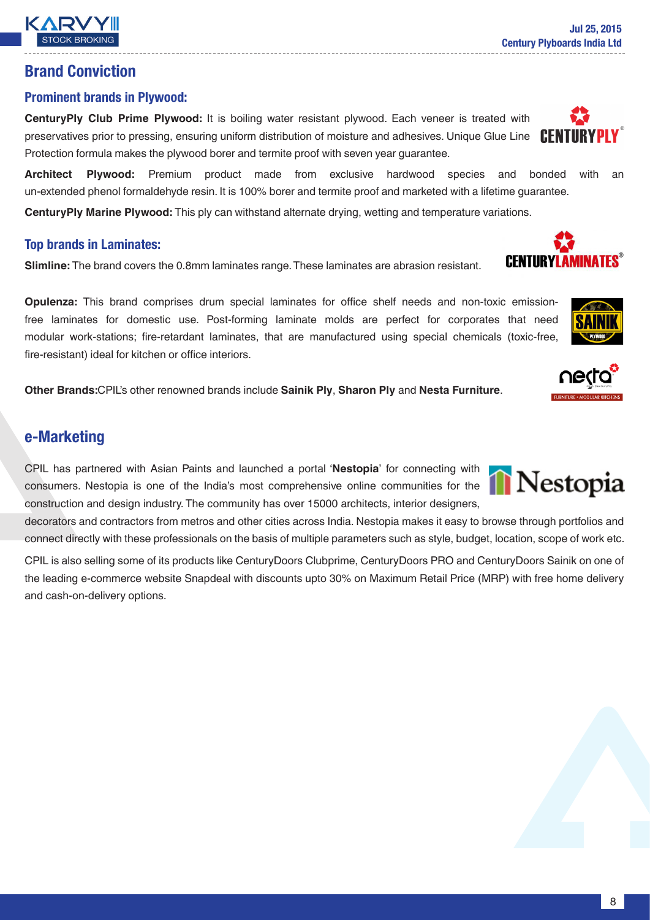# Brand Conviction

### Prominent brands in Plywood:

**CenturyPly Club Prime Plywood:** It is boiling water resistant plywood. Each veneer is treated with preservatives prior to pressing, ensuring uniform distribution of moisture and adhesives. Unique Glue Line CEN Protection formula makes the plywood borer and termite proof with seven year guarantee.

**Architect Plywood:** Premium product made from exclusive hardwood species and bonded with an un-extended phenol formaldehyde resin. It is 100% borer and termite proof and marketed with a lifetime guarantee.

**CenturyPly Marine Plywood:** This ply can withstand alternate drying, wetting and temperature variations.

### Top brands in Laminates:

**Slimline:** The brand covers the 0.8mm laminates range. These laminates are abrasion resistant.

**Opulenza:** This brand comprises drum special laminates for office shelf needs and non-toxic emissionfree laminates for domestic use. Post-forming laminate molds are perfect for corporates that need modular work-stations; fire-retardant laminates, that are manufactured using special chemicals (toxic-free, fire-resistant) ideal for kitchen or office interiors.

**Other Brands:**CPIL's other renowned brands include **Sainik Ply**, **Sharon Ply** and **Nesta Furniture**.

# e-Marketing

CPIL has partnered with Asian Paints and launched a portal '**Nestopia**' for connecting with consumers. Nestopia is one of the India's most comprehensive online communities for the construction and design industry. The community has over 15000 architects, interior designers,

decorators and contractors from metros and other cities across India. Nestopia makes it easy to browse through portfolios and connect directly with these professionals on the basis of multiple parameters such as style, budget, location, scope of work etc.

CPIL is also selling some of its products like CenturyDoors Clubprime, CenturyDoors PRO and CenturyDoors Sainik on one of the leading e-commerce website Snapdeal with discounts upto 30% on Maximum Retail Price (MRP) with free home delivery and cash-on-delivery options.











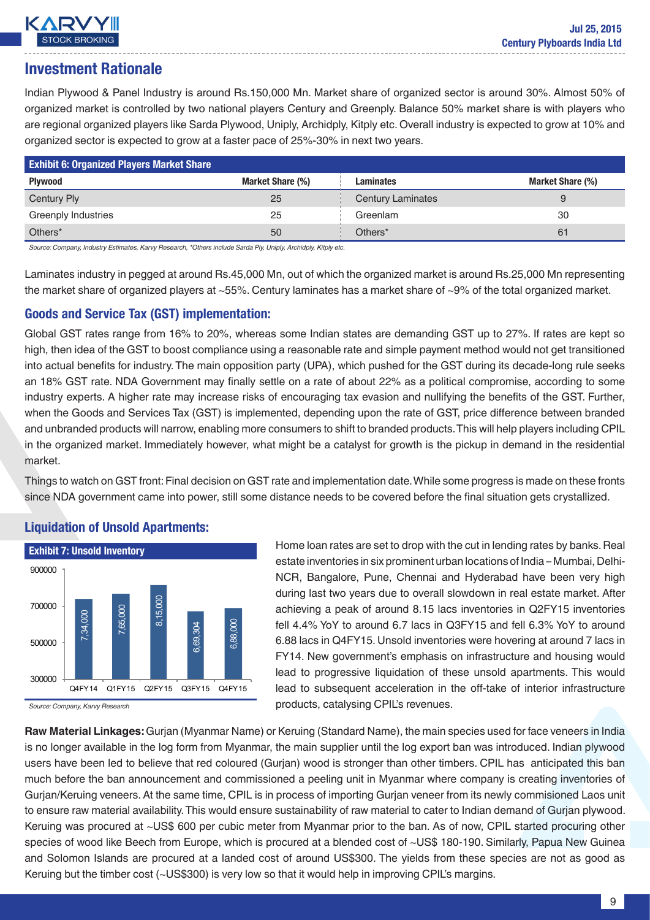

# Investment Rationale

Indian Plywood & Panel Industry is around Rs.150,000 Mn. Market share of organized sector is around 30%. Almost 50% of organized market is controlled by two national players Century and Greenply. Balance 50% market share is with players who are regional organized players like Sarda Plywood, Uniply, Archidply, Kitply etc. Overall industry is expected to grow at 10% and organized sector is expected to grow at a faster pace of 25%-30% in next two years.

| <b>Exhibit 6: Organized Players Market Share</b> |                  |                          |                  |
|--------------------------------------------------|------------------|--------------------------|------------------|
| <b>Plywood</b>                                   | Market Share (%) | Laminates                | Market Share (%) |
| Century Ply                                      | 25               | <b>Century Laminates</b> |                  |
| <b>Greenply Industries</b>                       | 25               | Greenlam                 | 30               |
| Others <sup>*</sup>                              | 50               | Others <sup>*</sup>      | 61               |

*Source: Company, Industry Estimates, Karvy Research, \*Others include Sarda Ply, Uniply, Archidply, Kitply etc.*

Laminates industry in pegged at around Rs.45,000 Mn, out of which the organized market is around Rs.25,000 Mn representing the market share of organized players at ~55%. Century laminates has a market share of ~9% of the total organized market.

### Goods and Service Tax (GST) implementation:

Global GST rates range from 16% to 20%, whereas some Indian states are demanding GST up to 27%. If rates are kept so high, then idea of the GST to boost compliance using a reasonable rate and simple payment method would not get transitioned into actual benefits for industry. The main opposition party (UPA), which pushed for the GST during its decade-long rule seeks an 18% GST rate. NDA Government may finally settle on a rate of about 22% as a political compromise, according to some industry experts. A higher rate may increase risks of encouraging tax evasion and nullifying the benefits of the GST. Further, when the Goods and Services Tax (GST) is implemented, depending upon the rate of GST, price difference between branded and unbranded products will narrow, enabling more consumers to shift to branded products. This will help players including CPIL in the organized market. Immediately however, what might be a catalyst for growth is the pickup in demand in the residential market.

Things to watch on GST front: Final decision on GST rate and implementation date. While some progress is made on these fronts since NDA government came into power, still some distance needs to be covered before the final situation gets crystallized.

#### Exhibit 7: Unsold Inventory *Source: Company, Karvy Research* 7,34,000 7,65,000 8,15,000 6,69,304 6,88,000 300000 500000 700000 900000 Q4FY14 Q1FY15 Q2FY15 Q3FY15 Q4FY15

### Liquidation of Unsold Apartments:

Home loan rates are set to drop with the cut in lending rates by banks. Real estate inventories in six prominent urban locations of India – Mumbai, Delhi-NCR, Bangalore, Pune, Chennai and Hyderabad have been very high during last two years due to overall slowdown in real estate market. After achieving a peak of around 8.15 lacs inventories in Q2FY15 inventories fell 4.4% YoY to around 6.7 lacs in Q3FY15 and fell 6.3% YoY to around 6.88 lacs in Q4FY15. Unsold inventories were hovering at around 7 lacs in FY14. New government's emphasis on infrastructure and housing would lead to progressive liquidation of these unsold apartments. This would lead to subsequent acceleration in the off-take of interior infrastructure products, catalysing CPIL's revenues.

**Raw Material Linkages:** Gurjan (Myanmar Name) or Keruing (Standard Name), the main species used for face veneers in India is no longer available in the log form from Myanmar, the main supplier until the log export ban was introduced. Indian plywood users have been led to believe that red coloured (Gurjan) wood is stronger than other timbers. CPIL has anticipated this ban much before the ban announcement and commissioned a peeling unit in Myanmar where company is creating inventories of Gurjan/Keruing veneers. At the same time, CPIL is in process of importing Gurjan veneer from its newly commisioned Laos unit to ensure raw material availability. This would ensure sustainability of raw material to cater to Indian demand of Gurjan plywood. Keruing was procured at ~US\$ 600 per cubic meter from Myanmar prior to the ban. As of now, CPIL started procuring other species of wood like Beech from Europe, which is procured at a blended cost of ~US\$ 180-190. Similarly, Papua New Guinea and Solomon Islands are procured at a landed cost of around US\$300. The yields from these species are not as good as Keruing but the timber cost (~US\$300) is very low so that it would help in improving CPIL's margins.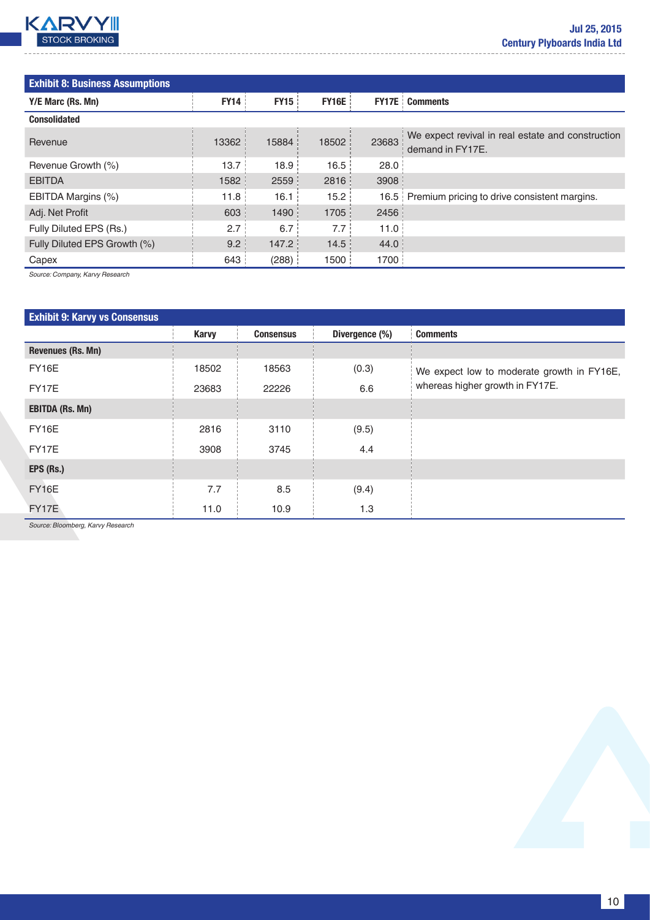

| <b>Exhibit 8: Business Assumptions</b> |             |             |              |              |                                                                       |
|----------------------------------------|-------------|-------------|--------------|--------------|-----------------------------------------------------------------------|
| Y/E Marc (Rs. Mn)                      | <b>FY14</b> | <b>FY15</b> | <b>FY16E</b> | <b>FY17E</b> | <b>Comments</b>                                                       |
| <b>Consolidated</b>                    |             |             |              |              |                                                                       |
| Revenue                                | 13362       | 15884       | 18502        | 23683        | We expect revival in real estate and construction<br>demand in FY17E. |
| Revenue Growth (%)                     | 13.7        | 18.9        | 16.5         | 28.0         |                                                                       |
| <b>EBITDA</b>                          | 1582        | 2559        | 2816         | 3908         |                                                                       |
| EBITDA Margins (%)                     | 11.8        | 16.1        | 15.2         |              | 16.5 Premium pricing to drive consistent margins.                     |
| Adj. Net Profit                        | 603         | 1490        | 1705         | 2456         |                                                                       |
| Fully Diluted EPS (Rs.)                | 2.7         | 6.7         | 7.7          | 11.0         |                                                                       |
| Fully Diluted EPS Growth (%)           | 9.2         | 147.2       | 14.5         | 44.0         |                                                                       |
| Capex                                  | 643         | (288)       | 1500         | 1700         |                                                                       |

*Source: Company, Karvy Research*

| <b>Exhibit 9: Karvy vs Consensus</b> |              |                  |                |                                            |
|--------------------------------------|--------------|------------------|----------------|--------------------------------------------|
|                                      | <b>Karvy</b> | <b>Consensus</b> | Divergence (%) | <b>Comments</b>                            |
| <b>Revenues (Rs. Mn)</b>             |              |                  |                |                                            |
| FY16E                                | 18502        | 18563            | (0.3)          | We expect low to moderate growth in FY16E, |
| FY17E                                | 23683        | 22226            | 6.6            | whereas higher growth in FY17E.            |
| <b>EBITDA (Rs. Mn)</b>               |              |                  |                |                                            |
| FY16E                                | 2816         | 3110             | (9.5)          |                                            |
| FY17E                                | 3908         | 3745             | 4.4            |                                            |
| EPS (Rs.)                            |              |                  |                |                                            |
| FY16E                                | 7.7          | 8.5              | (9.4)          |                                            |
| <b>FY17E</b>                         | 11.0         | 10.9             | 1.3            |                                            |

*Source: Bloomberg, Karvy Research*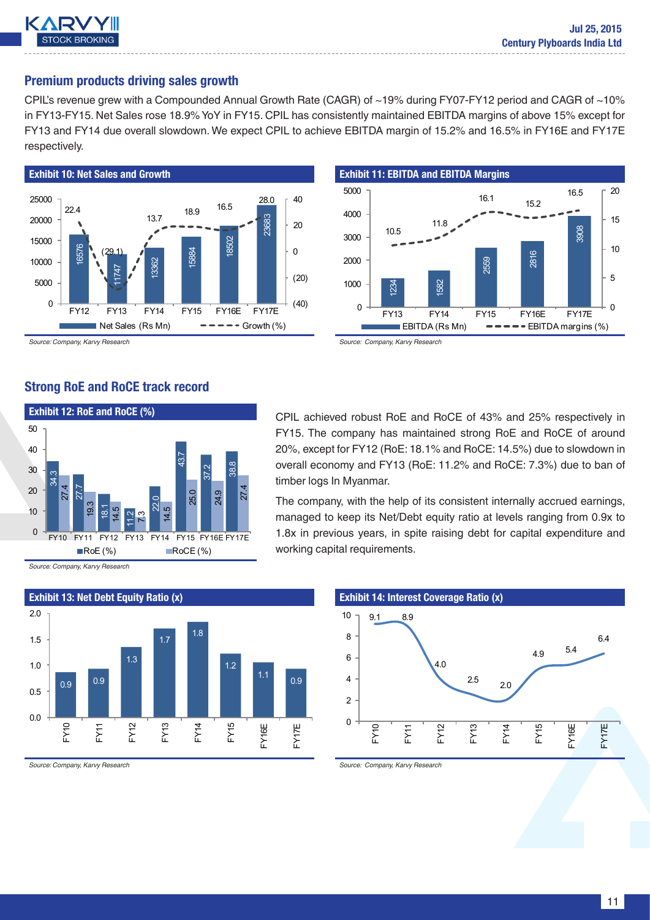

### Premium products driving sales growth

CPIL's revenue grew with a Compounded Annual Growth Rate (CAGR) of ~19% during FY07-FY12 period and CAGR of ~10% in FY13-FY15. Net Sales rose 18.9% YoY in FY15. CPIL has consistently maintained EBITDA margins of above 15% except for FY13 and FY14 due overall slowdown. We expect CPIL to achieve EBITDA margin of 15.2% and 16.5% in FY16E and FY17E respectively.



*Source: Company, Karvy Research*

Strong RoE and RoCE track record



Exhibit 11: EBITDA and EBITDA Margins 1234 1582 2559 2816 3908 10.5 11.8 16.1  $15.2$ 16.5  $\overline{0}$ 5 10 15 20  $\Omega$ 1000 2000 3000 4000 5000 FY13 FY14 FY15 FY16E FY17E  $\blacksquare$  EBITDA (Rs Mn)  $\blacksquare$   $\blacksquare$   $\blacksquare$   $\blacksquare$   $\blacksquare$   $\blacksquare$   $\blacksquare$   $\blacksquare$   $\blacksquare$   $\blacksquare$   $\blacksquare$   $\blacksquare$   $\blacksquare$   $\blacksquare$   $\blacksquare$   $\blacksquare$   $\blacksquare$   $\blacksquare$   $\blacksquare$   $\blacksquare$   $\blacksquare$   $\blacksquare$   $\blacksquare$   $\blacksquare$   $\blacksquare$   $\blacksquare$   $\blacksquare$   $\blacksquare$   $\bl$ 

CPIL achieved robust RoE and RoCE of 43% and 25% respectively in FY15. The company has maintained strong RoE and RoCE of around 20%, except for FY12 (RoE: 18.1% and RoCE: 14.5%) due to slowdown in overall economy and FY13 (RoE: 11.2% and RoCE: 7.3%) due to ban of timber logs In Myanmar.

The company, with the help of its consistent internally accrued earnings, managed to keep its Net/Debt equity ratio at levels ranging from 0.9x to 1.8x in previous years, in spite raising debt for capital expenditure and working capital requirements.

*Source: Company, Karvy Research*



*Source: Company, Karvy Research*

## Exhibit 14: Interest Coverage Ratio (x)



*Source: Company, Karvy Research*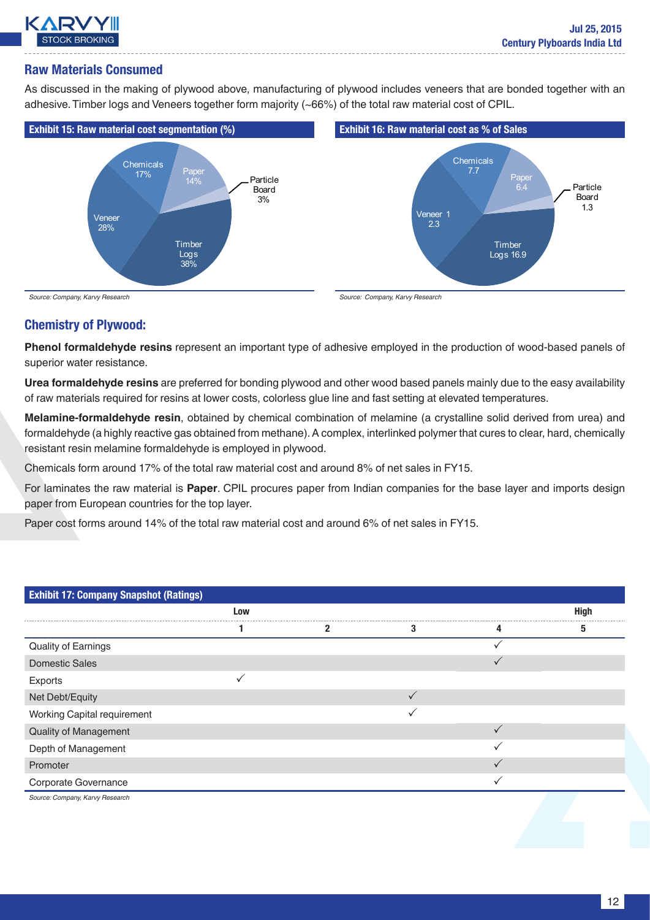

### Raw Materials Consumed

As discussed in the making of plywood above, manufacturing of plywood includes veneers that are bonded together with an adhesive. Timber logs and Veneers together form majority (~66%) of the total raw material cost of CPIL.



### Chemistry of Plywood:

**Phenol formaldehyde resins** represent an important type of adhesive employed in the production of wood-based panels of superior water resistance.

**Urea formaldehyde resins** are preferred for bonding plywood and other wood based panels mainly due to the easy availability of raw materials required for resins at lower costs, colorless glue line and fast setting at elevated temperatures.

**Melamine-formaldehyde resin**, obtained by chemical combination of melamine (a crystalline solid derived from urea) and formaldehyde (a highly reactive gas obtained from methane). A complex, interlinked polymer that cures to clear, hard, chemically resistant resin melamine formaldehyde is employed in plywood.

Chemicals form around 17% of the total raw material cost and around 8% of net sales in FY15.

For laminates the raw material is **Paper**. CPIL procures paper from Indian companies for the base layer and imports design paper from European countries for the top layer.

Paper cost forms around 14% of the total raw material cost and around 6% of net sales in FY15.

| <b>Exhibit 17: Company Snapshot (Ratings)</b> |     |   |   |              |      |  |  |  |  |
|-----------------------------------------------|-----|---|---|--------------|------|--|--|--|--|
|                                               | Low |   |   |              | High |  |  |  |  |
|                                               |     | 2 | 3 | 4            | 5    |  |  |  |  |
| Quality of Earnings                           |     |   |   |              |      |  |  |  |  |
| <b>Domestic Sales</b>                         |     |   |   | ✓            |      |  |  |  |  |
| Exports                                       |     |   |   |              |      |  |  |  |  |
| Net Debt/Equity                               |     |   |   |              |      |  |  |  |  |
| Working Capital requirement                   |     |   |   |              |      |  |  |  |  |
| Quality of Management                         |     |   |   | $\checkmark$ |      |  |  |  |  |
| Depth of Management                           |     |   |   |              |      |  |  |  |  |
| Promoter                                      |     |   |   | ✓            |      |  |  |  |  |
| Corporate Governance                          |     |   |   |              |      |  |  |  |  |
| Source: Company, Karvy Research               |     |   |   |              |      |  |  |  |  |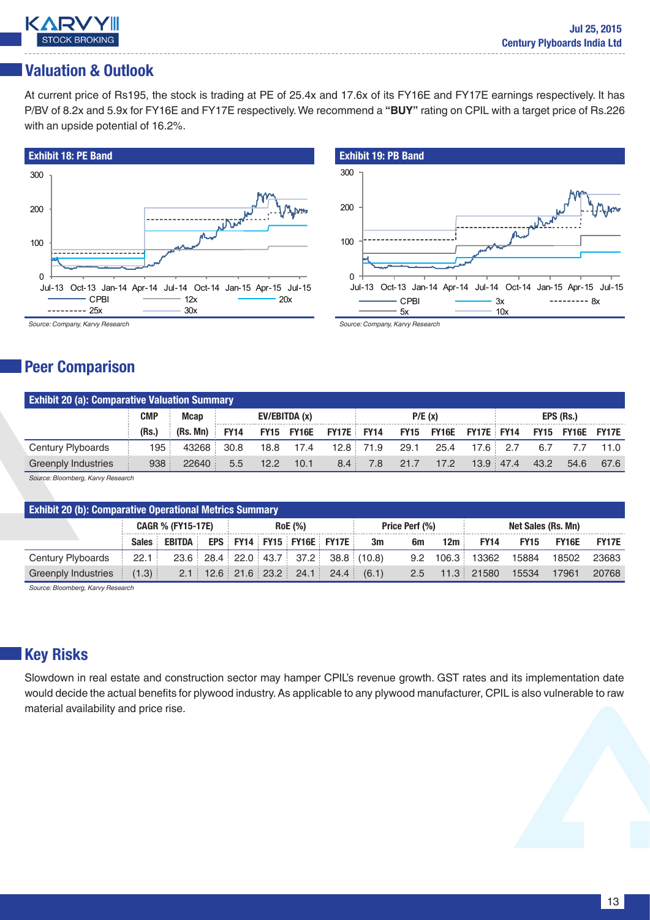

# Valuation & Outlook

At current price of Rs195, the stock is trading at PE of 25.4x and 17.6x of its FY16E and FY17E earnings respectively. It has P/BV of 8.2x and 5.9x for FY16E and FY17E respectively. We recommend a **"BUY"** rating on CPIL with a target price of Rs.226 with an upside potential of 16.2%.





*Source: Company, Karvy Research*

# Peer Comparison

|                            | <b>Exhibit 20 (a): Comparative Valuation Summary</b> |          |             |                |      |                              |             |      |                              |           |           |      |                         |      |
|----------------------------|------------------------------------------------------|----------|-------------|----------------|------|------------------------------|-------------|------|------------------------------|-----------|-----------|------|-------------------------|------|
|                            | <b>CMP</b>                                           | Mcap     |             | EV/EBITDA (x)  |      |                              | P/E(x)      |      |                              | EPS (Rs.) |           |      |                         |      |
|                            | (Rs.)                                                | (Rs. Mn) | <b>FY14</b> |                |      | <b>FY15 FY16E FY17E FY14</b> |             |      | <b>FY15 FY16E FY17E FY14</b> |           |           |      | <b>FY15 FY16E FY17E</b> |      |
| Century Plyboards          | 195                                                  | 43268    | 30.8        | 18.8           | 17.4 |                              | $12.8$ 71.9 | 29.1 | 25.4                         | 17.6      | 2.7       | 6.7  |                         | 11.0 |
| <b>Greenply Industries</b> | 938                                                  | 22640    | 5.5         | $12.2^{\circ}$ | 10.1 | 8.4                          | 7.8         | 21.7 | 17.2                         |           | 13.9 47.4 | 43.2 | 54.6                    | 67.6 |

*Source: Bloomberg, Karvy Research*

|                            | <b>Exhibit 20 (b): Comparative Operational Metrics Summary</b> |        |                |  |                |                           |                                                  |       |     |       |                   |             |       |              |
|----------------------------|----------------------------------------------------------------|--------|----------------|--|----------------|---------------------------|--------------------------------------------------|-------|-----|-------|-------------------|-------------|-------|--------------|
|                            | <b>CAGR % (FY15-17E)</b>                                       |        | <b>RoE</b> (%) |  | Price Perf (%) |                           | Net Sales (Rs. Mn)                               |       |     |       |                   |             |       |              |
|                            | <b>Sales</b>                                                   | EBITDA |                |  |                |                           | <b>EPS FY14 FY15 FY16E FY17E</b>                 | 3m    | 6m  | 12m   | <b>FY14</b>       | <b>FY15</b> | FY16E | <b>FY17E</b> |
| Century Plyboards          | 22.1                                                           |        |                |  |                |                           | $23.6$ $28.4$ $22.0$ $43.7$ $37.2$ $38.8$ (10.8) |       | 9.2 | 106.3 | 13362             | 15884       | 18502 | 23683        |
| <b>Greenply Industries</b> | (1.3)                                                          |        |                |  |                | $2.1$ 12.6 21.6 23.2 24.1 | 24.4                                             | (6.1) | 2.5 |       | $11.3 \div 21580$ | 15534       | 17961 | 20768        |

*Source: Bloomberg, Karvy Research*

# Key Risks

Slowdown in real estate and construction sector may hamper CPIL's revenue growth. GST rates and its implementation date would decide the actual benefits for plywood industry. As applicable to any plywood manufacturer, CPIL is also vulnerable to raw material availability and price rise.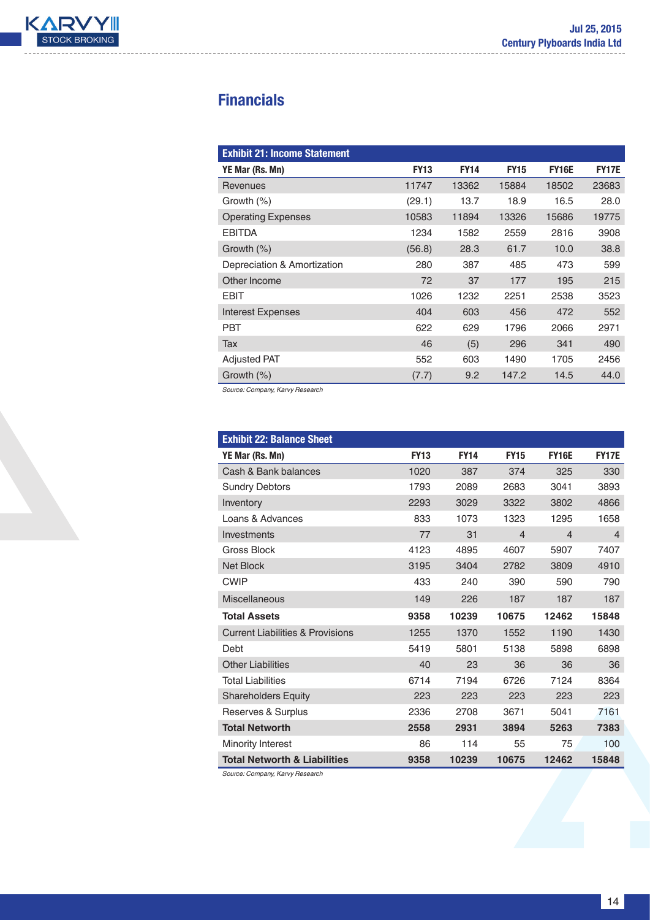

# **Financials**

| <b>Exhibit 21: Income Statement</b> |             |             |             |              |              |
|-------------------------------------|-------------|-------------|-------------|--------------|--------------|
| YE Mar (Rs. Mn)                     | <b>FY13</b> | <b>FY14</b> | <b>FY15</b> | <b>FY16E</b> | <b>FY17E</b> |
| Revenues                            | 11747       | 13362       | 15884       | 18502        | 23683        |
| Growth $(\%)$                       | (29.1)      | 13.7        | 18.9        | 16.5         | 28.0         |
| <b>Operating Expenses</b>           | 10583       | 11894       | 13326       | 15686        | 19775        |
| <b>EBITDA</b>                       | 1234        | 1582        | 2559        | 2816         | 3908         |
| Growth $(\%)$                       | (56.8)      | 28.3        | 61.7        | 10.0         | 38.8         |
| Depreciation & Amortization         | 280         | 387         | 485         | 473          | 599          |
| Other Income                        | 72          | 37          | 177         | 195          | 215          |
| <b>EBIT</b>                         | 1026        | 1232        | 2251        | 2538         | 3523         |
| <b>Interest Expenses</b>            | 404         | 603         | 456         | 472          | 552          |
| <b>PBT</b>                          | 622         | 629         | 1796        | 2066         | 2971         |
| Tax                                 | 46          | (5)         | 296         | 341          | 490          |
| <b>Adjusted PAT</b>                 | 552         | 603         | 1490        | 1705         | 2456         |
| Growth (%)                          | (7.7)       | 9.2         | 147.2       | 14.5         | 44.0         |

*Source: Company, Karvy Research*

| <b>Exhibit 22: Balance Sheet</b>            |             |             |                |                |                |
|---------------------------------------------|-------------|-------------|----------------|----------------|----------------|
| YE Mar (Rs. Mn)                             | <b>FY13</b> | <b>FY14</b> | <b>FY15</b>    | <b>FY16E</b>   | <b>FY17E</b>   |
| Cash & Bank balances                        | 1020        | 387         | 374            | 325            | 330            |
| <b>Sundry Debtors</b>                       | 1793        | 2089        | 2683           | 3041           | 3893           |
| Inventory                                   | 2293        | 3029        | 3322           | 3802           | 4866           |
| Loans & Advances                            | 833         | 1073        | 1323           | 1295           | 1658           |
| Investments                                 | 77          | 31          | $\overline{4}$ | $\overline{4}$ | $\overline{4}$ |
| Gross Block                                 | 4123        | 4895        | 4607           | 5907           | 7407           |
| <b>Net Block</b>                            | 3195        | 3404        | 2782           | 3809           | 4910           |
| <b>CWIP</b>                                 | 433         | 240         | 390            | 590            | 790            |
| <b>Miscellaneous</b>                        | 149         | 226         | 187            | 187            | 187            |
| <b>Total Assets</b>                         | 9358        | 10239       | 10675          | 12462          | 15848          |
| <b>Current Liabilities &amp; Provisions</b> | 1255        | 1370        | 1552           | 1190           | 1430           |
| Debt                                        | 5419        | 5801        | 5138           | 5898           | 6898           |
| <b>Other Liabilities</b>                    | 40          | 23          | 36             | 36             | 36             |
| <b>Total Liabilities</b>                    | 6714        | 7194        | 6726           | 7124           | 8364           |
| <b>Shareholders Equity</b>                  | 223         | 223         | 223            | 223            | 223            |
| Reserves & Surplus                          | 2336        | 2708        | 3671           | 5041           | 7161           |
| <b>Total Networth</b>                       | 2558        | 2931        | 3894           | 5263           | 7383           |
| Minority Interest                           | 86          | 114         | 55             | 75             | 100            |
| <b>Total Networth &amp; Liabilities</b>     | 9358        | 10239       | 10675          | 12462          | 15848          |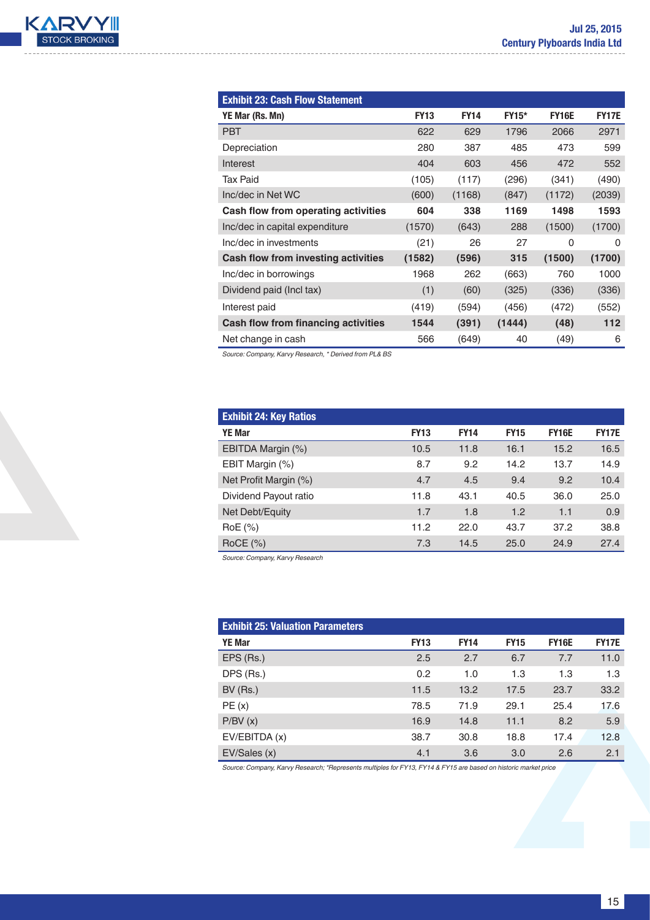

| <b>Exhibit 23: Cash Flow Statement</b> |             |             |              |              |              |
|----------------------------------------|-------------|-------------|--------------|--------------|--------------|
| YE Mar (Rs. Mn)                        | <b>FY13</b> | <b>FY14</b> | <b>FY15*</b> | <b>FY16E</b> | <b>FY17E</b> |
| <b>PBT</b>                             | 622         | 629         | 1796         | 2066         | 2971         |
| Depreciation                           | 280         | 387         | 485          | 473          | 599          |
| Interest                               | 404         | 603         | 456          | 472          | 552          |
| <b>Tax Paid</b>                        | (105)       | (117)       | (296)        | (341)        | (490)        |
| Inc/dec in Net WC                      | (600)       | (1168)      | (847)        | (1172)       | (2039)       |
| Cash flow from operating activities    | 604         | 338         | 1169         | 1498         | 1593         |
| Inc/dec in capital expenditure         | (1570)      | (643)       | 288          | (1500)       | (1700)       |
| Inc/dec in investments                 | (21)        | 26          | 27           | $\Omega$     | 0            |
| Cash flow from investing activities    | (1582)      | (596)       | 315          | (1500)       | (1700)       |
| Inc/dec in borrowings                  | 1968        | 262         | (663)        | 760          | 1000         |
| Dividend paid (Incl tax)               | (1)         | (60)        | (325)        | (336)        | (336)        |
| Interest paid                          | (419)       | (594)       | (456)        | (472)        | (552)        |
| Cash flow from financing activities    | 1544        | (391)       | (1444)       | (48)         | 112          |
| Net change in cash                     | 566         | (649)       | 40           | (49)         | 6            |

*Source: Company, Karvy Research, \* Derived from PL& BS*

| <b>Exhibit 24: Key Ratios</b> |             |             |             |              |              |
|-------------------------------|-------------|-------------|-------------|--------------|--------------|
| <b>YE Mar</b>                 | <b>FY13</b> | <b>FY14</b> | <b>FY15</b> | <b>FY16E</b> | <b>FY17E</b> |
| EBITDA Margin (%)             | 10.5        | 11.8        | 16.1        | 15.2         | 16.5         |
| EBIT Margin (%)               | 8.7         | 9.2         | 14.2        | 13.7         | 14.9         |
| Net Profit Margin (%)         | 4.7         | 4.5         | 9.4         | 9.2          | 10.4         |
| Dividend Payout ratio         | 11.8        | 43.1        | 40.5        | 36.0         | 25.0         |
| Net Debt/Equity               | 1.7         | 1.8         | 1.2         | 1.1          | 0.9          |
| RoE (%)                       | 11.2        | 22.0        | 43.7        | 37.2         | 38.8         |
| $RoCE$ (%)                    | 7.3         | 14.5        | 25.0        | 24.9         | 27.4         |

*Source: Company, Karvy Research*

| <b>Exhibit 25: Valuation Parameters</b> |             |             |             |              |              |
|-----------------------------------------|-------------|-------------|-------------|--------------|--------------|
| <b>YE Mar</b>                           | <b>FY13</b> | <b>FY14</b> | <b>FY15</b> | <b>FY16E</b> | <b>FY17E</b> |
| EPS (Rs.)                               | 2.5         | 2.7         | 6.7         | 7.7          | 11.0         |
| DPS (Rs.)                               | 0.2         | 1.0         | 1.3         | 1.3          | 1.3          |
| BV(Rs.)                                 | 11.5        | 13.2        | 17.5        | 23.7         | 33.2         |
| PE(x)                                   | 78.5        | 71.9        | 29.1        | 25.4         | 17.6         |
| P/BV(x)                                 | 16.9        | 14.8        | 11.1        | 8.2          | 5.9          |
| EV/EBITDA (x)                           | 38.7        | 30.8        | 18.8        | 17.4         | 12.8         |
| EV/Sales (x)                            | 4.1         | 3.6         | 3.0         | 2.6          | 2.1          |

*Source: Company, Karvy Research; \*Represents multiples for FY13, FY14 & FY15 are based on historic market price*